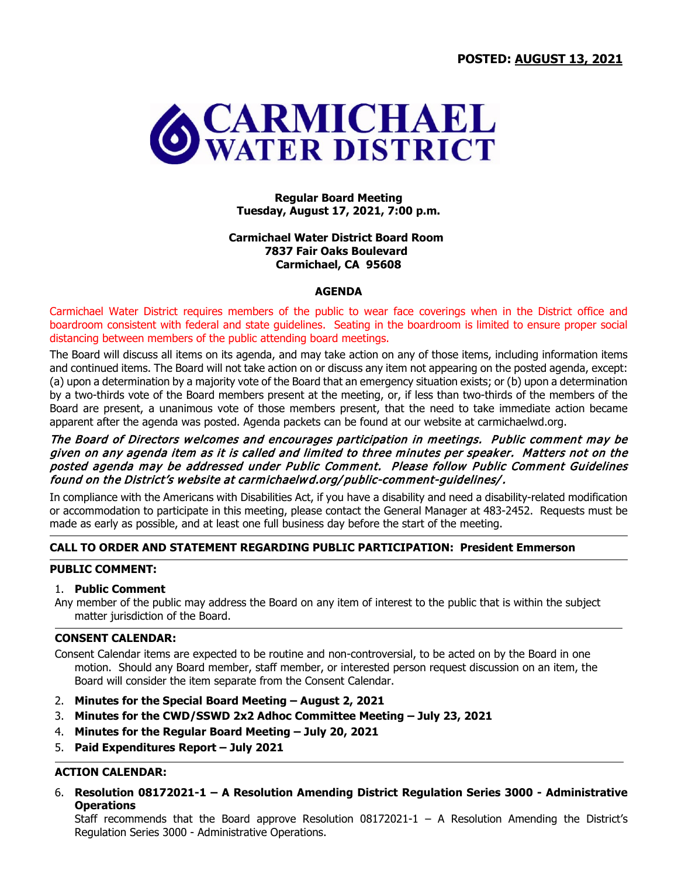

## **Regular Board Meeting Tuesday, August 17, 2021, 7:00 p.m.**

## **Carmichael Water District Board Room 7837 Fair Oaks Boulevard Carmichael, CA 95608**

## **AGENDA**

Carmichael Water District requires members of the public to wear face coverings when in the District office and boardroom consistent with federal and state guidelines. Seating in the boardroom is limited to ensure proper social distancing between members of the public attending board meetings.

The Board will discuss all items on its agenda, and may take action on any of those items, including information items and continued items. The Board will not take action on or discuss any item not appearing on the posted agenda, except: (a) upon a determination by a majority vote of the Board that an emergency situation exists; or (b) upon a determination by a two-thirds vote of the Board members present at the meeting, or, if less than two-thirds of the members of the Board are present, a unanimous vote of those members present, that the need to take immediate action became apparent after the agenda was posted. Agenda packets can be found at our website at carmichaelwd.org.

## The Board of Directors welcomes and encourages participation in meetings. Public comment may be given on any agenda item as it is called and limited to three minutes per speaker. Matters not on the posted agenda may be addressed under Public Comment. Please follow Public Comment Guidelines found on the District's website at carmichaelwd.org/ public-comment-guidelines/.

In compliance with the Americans with Disabilities Act, if you have a disability and need a disability-related modification or accommodation to participate in this meeting, please contact the General Manager at 483-2452. Requests must be made as early as possible, and at least one full business day before the start of the meeting.

# **CALL TO ORDER AND STATEMENT REGARDING PUBLIC PARTICIPATION: President Emmerson**

## **PUBLIC COMMENT:**

## 1. **Public Comment**

Any member of the public may address the Board on any item of interest to the public that is within the subject matter jurisdiction of the Board.

## **CONSENT CALENDAR:**

Consent Calendar items are expected to be routine and non-controversial, to be acted on by the Board in one motion. Should any Board member, staff member, or interested person request discussion on an item, the Board will consider the item separate from the Consent Calendar.

- 2. **Minutes for the Special Board Meeting – August 2, 2021**
- 3. **Minutes for the CWD/SSWD 2x2 Adhoc Committee Meeting – July 23, 2021**
- 4. **Minutes for the Regular Board Meeting – July 20, 2021**
- 5. **Paid Expenditures Report – July 2021**

# **ACTION CALENDAR:**

6. **Resolution 08172021-1 – A Resolution Amending District Regulation Series 3000 - Administrative Operations** 

Staff recommends that the Board approve Resolution  $08172021-1 - A$  Resolution Amending the District's Regulation Series 3000 - Administrative Operations.